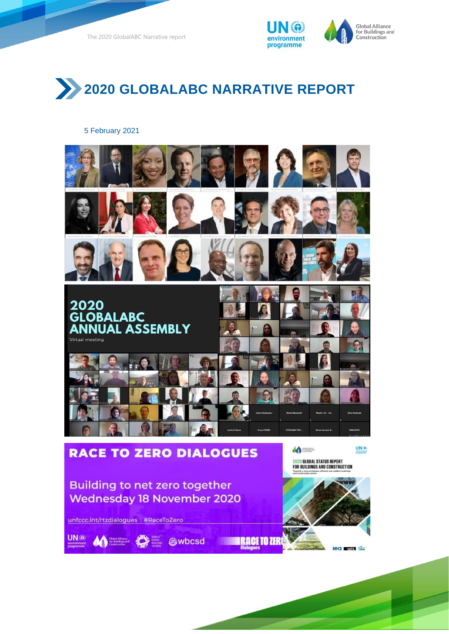



#### 5 February 2021



# **RACE TO ZERO DIALOGUES**

### Building to net zero together **Wednesday 18 November 2020**

unfccc.int/rtzdialogues | #RaceToZero

 $\mathbf{UN}(\mathbf{\widehat{o}})$ 

**EXAMPLE 10 ZERI** 

2020 GLOBAL STATUS REPORT FOR BUILDINGS AND CONSTRUCTION



led and the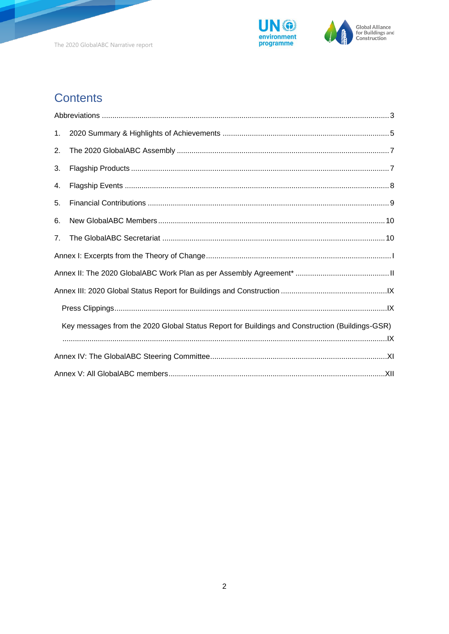



# Contents

| 1.             |                                                                                                |
|----------------|------------------------------------------------------------------------------------------------|
| 2.             |                                                                                                |
| 3.             |                                                                                                |
| 4.             |                                                                                                |
| 5.             |                                                                                                |
| 6.             |                                                                                                |
| 7 <sub>1</sub> |                                                                                                |
|                |                                                                                                |
|                |                                                                                                |
|                |                                                                                                |
|                |                                                                                                |
|                | Key messages from the 2020 Global Status Report for Buildings and Construction (Buildings-GSR) |
|                |                                                                                                |
|                |                                                                                                |
|                |                                                                                                |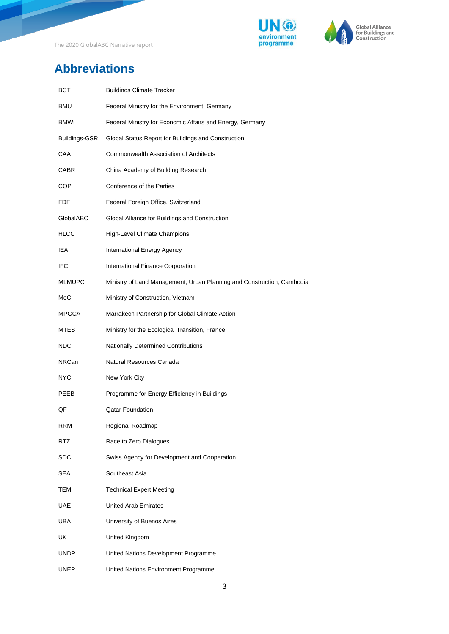



# <span id="page-2-0"></span>**Abbreviations**

| BCT           | <b>Buildings Climate Tracker</b>                                       |
|---------------|------------------------------------------------------------------------|
| BMU           | Federal Ministry for the Environment, Germany                          |
| BMWi          | Federal Ministry for Economic Affairs and Energy, Germany              |
| Buildings-GSR | Global Status Report for Buildings and Construction                    |
| CAA           | Commonwealth Association of Architects                                 |
| CABR          | China Academy of Building Research                                     |
| COP           | Conference of the Parties                                              |
| FDF           | Federal Foreign Office, Switzerland                                    |
| GlobalABC     | Global Alliance for Buildings and Construction                         |
| HLCC          | High-Level Climate Champions                                           |
| IEA           | International Energy Agency                                            |
| IFC           | International Finance Corporation                                      |
| <b>MLMUPC</b> | Ministry of Land Management, Urban Planning and Construction, Cambodia |
| MoC           | Ministry of Construction, Vietnam                                      |
| <b>MPGCA</b>  | Marrakech Partnership for Global Climate Action                        |
| <b>MTES</b>   | Ministry for the Ecological Transition, France                         |
| NDC.          | Nationally Determined Contributions                                    |
| NRCan         | Natural Resources Canada                                               |
| NYC.          | New York City                                                          |
| PEEB          | Programme for Energy Efficiency in Buildings                           |
| QF            | <b>Qatar Foundation</b>                                                |
| <b>RRM</b>    | Regional Roadmap                                                       |
| RTZ           | Race to Zero Dialogues                                                 |
| <b>SDC</b>    | Swiss Agency for Development and Cooperation                           |
| SEA           | Southeast Asia                                                         |
| <b>TEM</b>    | <b>Technical Expert Meeting</b>                                        |
| <b>UAE</b>    | <b>United Arab Emirates</b>                                            |
| UBA           | University of Buenos Aires                                             |
| UK            | United Kingdom                                                         |
| UNDP          | United Nations Development Programme                                   |
| <b>UNEP</b>   | United Nations Environment Programme                                   |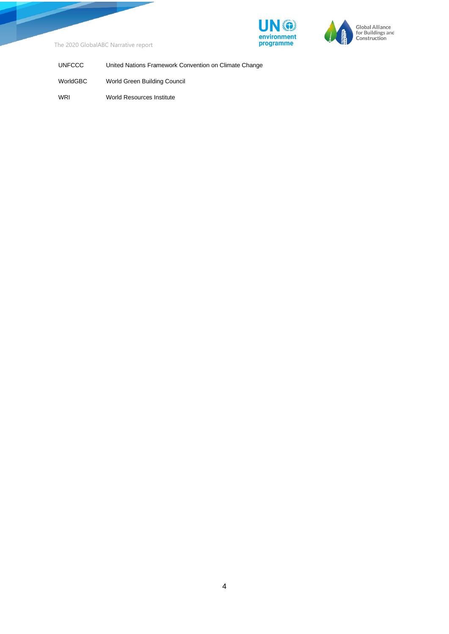





UNFCCC United Nations Framework Convention on Climate Change

WorldGBC World Green Building Council

WRI World Resources Institute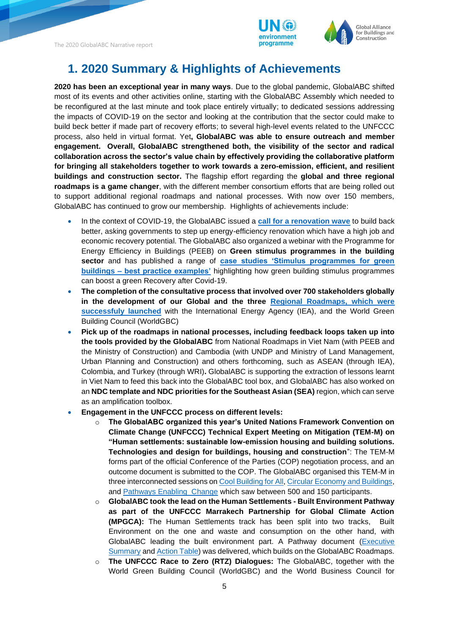



# <span id="page-4-0"></span>**1. 2020 Summary & Highlights of Achievements**

**2020 has been an exceptional year in many ways**. Due to the global pandemic, GlobalABC shifted most of its events and other activities online, starting with the GlobalABC Assembly which needed to be reconfigured at the last minute and took place entirely virtually; to dedicated sessions addressing the impacts of COVID-19 on the sector and looking at the contribution that the sector could make to build beck better if made part of recovery efforts; to several high-level events related to the UNFCCC process, also held in virtual format. Yet**, GlobalABC was able to ensure outreach and member engagement. Overall, GlobalABC strengthened both, the visibility of the sector and radical collaboration across the sector's value chain by effectively providing the collaborative platform for bringing all stakeholders together to work towards a zero-emission, efficient, and resilient buildings and construction sector.** The flagship effort regarding the **global and three regional roadmaps is a game changer**, with the different member consortium efforts that are being rolled out to support additional regional roadmaps and national processes. With now over 150 members, GlobalABC has continued to grow our membership. Highlights of achievements include:

- In the context of COVID-19, the GlobalABC issued a **[call for a renovation wave](https://globalabc.org/news/covid-19-response-globalabc-encouraging-massive-renovation-wave)** to build back better, asking governments to step up energy-efficiency renovation which have a high job and economic recovery potential. The GlobalABC also organized a webinar with the Programme for Energy Efficiency in Buildings (PEEB) on **Green stimulus programmes in the building sector** and has published a range of **[case studies 'Stimulus programmes for green](https://globalabc.org/resources/publications/stimulus-programmes-green-buildings-best-practice-examples)  buildings – [best practice examples'](https://globalabc.org/resources/publications/stimulus-programmes-green-buildings-best-practice-examples)** highlighting how green building stimulus programmes can boost a green Recovery after Covid-19.
- **The completion of the consultative process that involved over 700 stakeholders globally in the development of our Global and the three [Regional Roadmaps,](https://globalabc.org/our-work/forging-regional-pathways-global-and-regional-roadmap) which were successfuly launched** with the International Energy Agency (IEA), and the World Green Building Council (WorldGBC)
- **Pick up of the roadmaps in national processes, including feedback loops taken up into the tools provided by the GlobalABC** from National Roadmaps in Viet Nam (with PEEB and the Ministry of Construction) and Cambodia (with UNDP and Ministry of Land Management, Urban Planning and Construction) and others forthcoming, such as ASEAN (through IEA), Colombia, and Turkey (through WRI)**.** GlobalABC is supporting the extraction of lessons learnt in Viet Nam to feed this back into the GlobalABC tool box, and GlobalABC has also worked on an **NDC template and NDC priorities for the Southeast Asian (SEA)** region, which can serve as an amplification toolbox.
- **Engagement in the UNFCCC process on different levels:**
	- o **The GlobalABC organized this year's United Nations Framework Convention on Climate Change (UNFCCC) Technical Expert Meeting on Mitigation (TEM-M) on "Human settlements: sustainable low-emission housing and building solutions. Technologies and design for buildings, housing and construction**": The TEM-M forms part of the official Conference of the Parties (COP) negotiation process, and an outcome document is submitted to the COP. The GlobalABC organised this TEM-M in three interconnected sessions on [Cool Building for All,](file:///C:/Users/steurern/Documents/2%20GlobalABC/4%20GlobalABC%20admin/3%20GlobalABC%20reporting/3%20Narrative%20report/2020%20narrative%20report/Preliminary%20version/o%09https:/globalabc.org/news/globalabc-leads-unfccc-technical-expert-meeting-mitigation-buildings) [Circular Economy and Buildings,](file:///C:/Users/steurern/Documents/2%20GlobalABC/4%20GlobalABC%20admin/3%20GlobalABC%20reporting/3%20Narrative%20report/2020%20narrative%20report/Preliminary%20version/o%09https:/globalabc.org/news/globalabc-leads-unfccc-technical-expert-meeting-mitigation-buildings-0) and [Pathways Enabling Change](file:///C:/Users/steurern/Documents/2%20GlobalABC/4%20GlobalABC%20admin/3%20GlobalABC%20reporting/3%20Narrative%20report/2020%20narrative%20report/Preliminary%20version/o%09https:/globalabc.org/news/globalabc-leads-unfccc-technical-expert-meeting-mitigation-buildings-1) which saw between 500 and 150 participants.
	- o **GlobalABC took the lead on the Human Settlements - Built Environment Pathway as part of the UNFCCC Marrakech Partnership for Global Climate Action (MPGCA):** The Human Settlements track has been split into two tracks, Built Environment on the one and waste and consumption on the other hand, with GlobalABC leading the built environment part. A Pathway document [\(Executive](https://unfccc.int/documents/259204)  [Summary](https://unfccc.int/documents/259204) and [Action Table\)](https://unfccc.int/documents/201835) was delivered, which builds on the GlobalABC Roadmaps.
	- o **The UNFCCC Race to Zero (RTZ) Dialogues:** The GlobalABC, together with the World Green Building Council (WorldGBC) and the World Business Council for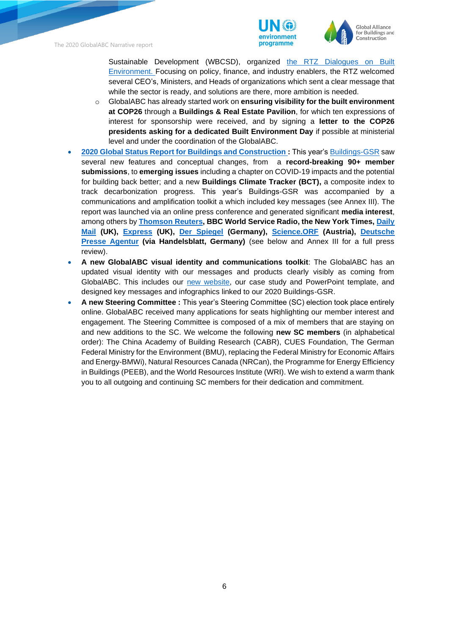



Sustainable Development (WBCSD), organized [the RTZ Dialogues on Built](https://3k91r.r.bh.d.sendibt3.com/mk/cl/f/CVmj_Uz-lQJ8l1CUIOkRJSbmlIqWHCgAHIZbZnMp5_02hByywSwVCTjF9eaLqlXAH7U5mUChWIDKdjeMpiQOreUvID0J01-LjPIiZB9CQpdAR18Z0fO8JiyDEkWcMoCOfYKxPXyxBXqyUxaYR3znKm3EYr_sf3nm8Q8hgRu7HFA4t1oulNec3F7WUkj_QY5slAq3phMcWQ-F3-V8XZNoqh1bqn8aTOgdj_zHLEJ2oQ)  [Environment.](https://3k91r.r.bh.d.sendibt3.com/mk/cl/f/CVmj_Uz-lQJ8l1CUIOkRJSbmlIqWHCgAHIZbZnMp5_02hByywSwVCTjF9eaLqlXAH7U5mUChWIDKdjeMpiQOreUvID0J01-LjPIiZB9CQpdAR18Z0fO8JiyDEkWcMoCOfYKxPXyxBXqyUxaYR3znKm3EYr_sf3nm8Q8hgRu7HFA4t1oulNec3F7WUkj_QY5slAq3phMcWQ-F3-V8XZNoqh1bqn8aTOgdj_zHLEJ2oQ) Focusing on policy, finance, and industry enablers, the RTZ welcomed several CEO's, Ministers, and Heads of organizations which sent a clear message that while the sector is ready, and solutions are there, more ambition is needed.

- o GlobalABC has already started work on **ensuring visibility for the built environment at COP26** through a **Buildings & Real Estate Pavilion**, for which ten expressions of interest for sponsorship were received, and by signing a **letter to the COP26 presidents asking for a dedicated Built Environment Day** if possible at ministerial level and under the coordination of the GlobalABC.
- **[2020 Global Status Report for Buildings and Construction :](http://globalabc.org/news/launched-2020-global-status-report-buildings-and-construction)** This year'[s Buildings-GSR](http://globalabc.org/news/launched-2020-global-status-report-buildings-and-construction) saw several new features and conceptual changes, from a **record-breaking 90+ member submissions**, to **emerging issues** including a chapter on COVID-19 impacts and the potential for building back better; and a new **Buildings Climate Tracker (BCT),** a composite index to track decarbonization progress. This year's Buildings-GSR was accompanied by a communications and amplification toolkit a which included key messages (see Annex III). The report was launched via an online press conference and generated significant **media interest**, among others by **[Thomson Reuters,](https://news.trust.org/item/20201216162555-kfykb/) BBC World Service Radio, the New York Times, [Daily](https://www.dailymail.co.uk/sciencetech/article-9059249/Construction-related-CO2-emissions-hit-record-high-report-reveals.html)  [Mail](https://www.dailymail.co.uk/sciencetech/article-9059249/Construction-related-CO2-emissions-hit-record-high-report-reveals.html) (UK), [Express](https://www.express.co.uk/news/uk/1373202/amazon-plastic-air-packaging-environmental-damage) (UK), [Der Spiegel](https://www.spiegel.de/wissenschaft/mensch/klimawandel-38-prozent-der-co2-emissionen-stammen-aus-dem-gebaeudesektor-a-b31a21c4-a3bb-4b00-a5fc-869091ee6ca4) (Germany), [Science.ORF](https://science.orf.at/stories/3203591/) (Austria), [Deutsche](https://www.handelsblatt.com/dpa/wirtschaft-handel-und-finanzen-un-behoerde-co2-ausstoss-im-gebaeude-und-bausektor-auf-hoechstniveau/26725036.html)  [Presse Agentur](https://www.handelsblatt.com/dpa/wirtschaft-handel-und-finanzen-un-behoerde-co2-ausstoss-im-gebaeude-und-bausektor-auf-hoechstniveau/26725036.html) (via Handelsblatt, Germany)** (see below and Annex III for a full press review).
- **A new GlobalABC visual identity and communications toolkit**: The GlobalABC has an updated visual identity with our messages and products clearly visibly as coming from GlobalABC. This includes our [new website,](http://www.globalabc.org/) our case study and PowerPoint template, and designed key messages and infographics linked to our 2020 Buildings-GSR.
- **A new Steering Committee :** This year's Steering Committee (SC) election took place entirely online. GlobalABC received many applications for seats highlighting our member interest and engagement. The Steering Committee is composed of a mix of members that are staying on and new additions to the SC. We welcome the following **new SC members** (in alphabetical order): The China Academy of Building Research (CABR), CUES Foundation, The German Federal Ministry for the Environment (BMU), replacing the Federal Ministry for Economic Affairs and Energy-BMWi), Natural Resources Canada (NRCan), the Programme for Energy Efficiency in Buildings (PEEB), and the World Resources Institute (WRI). We wish to extend a warm thank you to all outgoing and continuing SC members for their dedication and commitment.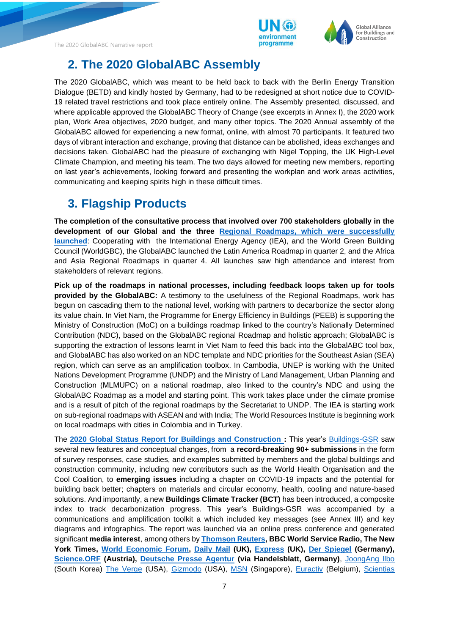



### <span id="page-6-0"></span>**2. The 2020 GlobalABC Assembly**

The 2020 GlobalABC, which was meant to be held back to back with the Berlin Energy Transition Dialogue (BETD) and kindly hosted by Germany, had to be redesigned at short notice due to COVID-19 related travel restrictions and took place entirely online. The Assembly presented, discussed, and where applicable approved the GlobalABC Theory of Change (see excerpts in Annex I), the 2020 work plan, Work Area objectives, 2020 budget, and many other topics. The 2020 Annual assembly of the GlobalABC allowed for experiencing a new format, online, with almost 70 participants. It featured two days of vibrant interaction and exchange, proving that distance can be abolished, ideas exchanges and decisions taken. GlobalABC had the pleasure of exchanging with Nigel Topping, the UK High-Level Climate Champion, and meeting his team. The two days allowed for meeting new members, reporting on last year's achievements, looking forward and presenting the workplan and work areas activities, communicating and keeping spirits high in these difficult times.

### <span id="page-6-1"></span>**3. Flagship Products**

**The completion of the consultative process that involved over 700 stakeholders globally in the development of our Global and the three [Regional Roadmaps,](https://globalabc.org/our-work/forging-regional-pathways-global-and-regional-roadmap) which were successfully launched**: Cooperating with the International Energy Agency (IEA), and the World Green Building Council (WorldGBC), the GlobalABC launched the Latin America Roadmap in quarter 2, and the Africa and Asia Regional Roadmaps in quarter 4. All launches saw high attendance and interest from stakeholders of relevant regions.

**Pick up of the roadmaps in national processes, including feedback loops taken up for tools provided by the GlobalABC:** A testimony to the usefulness of the Regional Roadmaps, work has begun on cascading them to the national level, working with partners to decarbonize the sector along its value chain. In Viet Nam, the Programme for Energy Efficiency in Buildings (PEEB) is supporting the Ministry of Construction (MoC) on a buildings roadmap linked to the country's Nationally Determined Contribution (NDC), based on the GlobalABC regional Roadmap and holistic approach; GlobalABC is supporting the extraction of lessons learnt in Viet Nam to feed this back into the GlobalABC tool box, and GlobalABC has also worked on an NDC template and NDC priorities for the Southeast Asian (SEA) region, which can serve as an amplification toolbox. In Cambodia, UNEP is working with the United Nations Development Programme (UNDP) and the Ministry of Land Management, Urban Planning and Construction (MLMUPC) on a national roadmap, also linked to the country's NDC and using the GlobalABC Roadmap as a model and starting point. This work takes place under the climate promise and is a result of pitch of the regional roadmaps by the Secretariat to UNDP. The IEA is starting work on sub-regional roadmaps with ASEAN and with India; The World Resources Institute is beginning work on local roadmaps with cities in Colombia and in Turkey.

The **[2020 Global Status Report for Buildings and Construction :](http://globalabc.org/news/launched-2020-global-status-report-buildings-and-construction)** This year's [Buildings-GSR](http://globalabc.org/news/launched-2020-global-status-report-buildings-and-construction) saw several new features and conceptual changes, from a **record-breaking 90+ submissions** in the form of survey responses, case studies, and examples submitted by members and the global buildings and construction community, including new contributors such as the World Health Organisation and the Cool Coalition, to **emerging issues** including a chapter on COVID-19 impacts and the potential for building back better; chapters on materials and circular economy, health, cooling and nature-based solutions. And importantly, a new **Buildings Climate Tracker (BCT)** has been introduced, a composite index to track decarbonization progress. This year's Buildings-GSR was accompanied by a communications and amplification toolkit a which included key messages (see Annex III) and key diagrams and infographics. The report was launched via an online press conference and generated significant **media interest**, among others by **[Thomson Reuters,](https://news.trust.org/item/20201216162555-kfykb/) BBC World Service Radio, The New York Times, [World Economic Forum,](https://www.weforum.org/agenda/2021/01/planet-warming-emissions-buildings-construction-climate-goals-risk/) [Daily Mail](https://www.dailymail.co.uk/sciencetech/article-9059249/Construction-related-CO2-emissions-hit-record-high-report-reveals.html) (UK), [Express](https://www.express.co.uk/news/uk/1373202/amazon-plastic-air-packaging-environmental-damage) (UK), [Der Spiegel](https://www.spiegel.de/wissenschaft/mensch/klimawandel-38-prozent-der-co2-emissionen-stammen-aus-dem-gebaeudesektor-a-b31a21c4-a3bb-4b00-a5fc-869091ee6ca4) (Germany), [Science.ORF](https://science.orf.at/stories/3203591/) (Austria), [Deutsche Presse Agentur](https://www.handelsblatt.com/dpa/wirtschaft-handel-und-finanzen-un-behoerde-co2-ausstoss-im-gebaeude-und-bausektor-auf-hoechstniveau/26725036.html) (via Handelsblatt, Germany)**, [JoongAng Ilbo](https://news.joins.com/article/23947630?cloc=joongang-section-moredigitalfirst) (South Korea) [The Verge](https://www.theverge.com/22178481/buildings-greenhouse-gas-emissions-climate-change-united-nations-report) (USA), [Gizmodo](https://earther.gizmodo.com/buildings-are-becoming-a-huge-source-of-carbon-pollutio-1845890582) (USA), [MSN](https://www.msn.com/en-sg/news/techandscience/the-stimulus-bill-will-phase-out-super-greenhouse-gases/ar-BB1c9p46) (Singapore), [Euractiv](https://www.euractiv.com/section/energy/news/planet-warming-emissions-from-buildings-put-climate-goals-at-risk/) (Belgium), [Scientias](https://www.scientias.nl/co2-uitstoot-van-de-bouw-bereikt-recordhoogte/)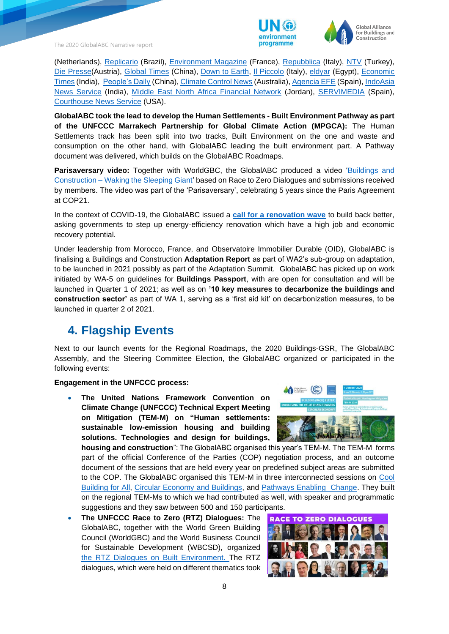



(Netherlands), [Replicario](https://replicario.com.br/como-reduzir-as-crescentes-emissoes-de-gases-de-efeito-estufa-dos-edificios/) (Brazil), [Environment Magazine](https://www.environnement-magazine.fr/pollutions/article/2020/12/16/131589/2019-les-emissions-co2-des-batiments-atteignent-des-sommets) (France), [Repubblica](https://www.repubblica.it/green-and-blue/2020/12/17/news/rapporto_onu_le_emissioni_di_co2_legate_agli_edifici_hanno_raggiunto_il_record-278668982/) (Italy), [NTV](https://www.ntv.com.tr/dunya/insaat-ve-yapi-endustrisi-dunyadaki-karbon-emisyonlarinin-ucte-birinden-fazlasina-neden-oluyor,Z_R8Oi4poEG2H4_d_qUSTg) (Turkey), [Die Presse\(](https://www.diepresse.com/5912673/unep-co2-ausstoss-im-gebaude-und-bausektor-auf-hochstniveau)Austria), [Global Times](https://www.globaltimes.cn/content/1210260.shtml) (China), [Down to Earth,](https://www.downtoearth.org.in/news/air/co2-emissions-from-building-sector-highest-in-2019-unep-74674) [Il Piccolo](https://nuovavenezia.gelocal.it/green-and-blue/2020/12/17/news/rapporto_onu_le_emissioni_di_co2_legate_agli_edifici_hanno_raggiunto_il_record-278668982/) (Italy), [eldyar](https://www.eldyar.net/show286881) (Egypt), [Economic](https://energy.economictimes.indiatimes.com/news/coal/79771220)  [Times](https://energy.economictimes.indiatimes.com/news/coal/79771220) (India), [People's Daily](http://french.peopledaily.com.cn/Afrique/n3/2020/1217/c96852-9800100.html) (China), [Climate Control News](https://www.climatecontrolnews.com.au/news/latest/record-breaking-emissions-from-global-building-sector) (Australia)[, Agencia EFE](https://www.efe.com/efe/espana/sociedad/edificios-y-el-sector-de-la-construccion-suman-38-las-emisiones-globales-co2/10004-4420918?utm_source=wwwefecom&utm_medium=rss&utm_campaign=rss) (Spain)[, IndoAsia](https://www.prokerala.com/news/articles/a1112381.html)  [News Service](https://www.prokerala.com/news/articles/a1112381.html) (India), [Middle East North Africa Financial Network](https://menafn.com/1101291035/Buildings-related-emissions-hit-record-high-Report) (Jordan), [SERVIMEDIA](http://www.diariosigloxxi.com/texto-s/mostrar/391760/emisiones-mundiales-co2-edificios-marcan-nuevo-record-anual-segun-onu) (Spain), [Courthouse News Service](https://www.courthousenews.com/un-says-green-buildings-hold-key-to-net-zero-carbon-goal/) (USA).

**GlobalABC took the lead to develop the Human Settlements - Built Environment Pathway as part of the UNFCCC Marrakech Partnership for Global Climate Action (MPGCA):** The Human Settlements track has been split into two tracks, Built Environment on the one and waste and consumption on the other hand, with GlobalABC leading the built environment part. A Pathway document was delivered, which builds on the GlobalABC Roadmaps.

**Parisaversary video:** Together with WorldGBC, the GlobalABC produced a video 'Buildings and Construction – [Waking the Sleeping Giant'](file:///C:/Users/steurern/Documents/2%20GlobalABC/4%20GlobalABC%20admin/3%20GlobalABC%20reporting/3%20Narrative%20report/2020%20narrative%20report/Preliminary%20version/•A%20first%20draft%20of%20the%20adaptation%20report%20will%20be%20available%20by%2015%20October%20which%20will%20be%20circulated%20to%20SC%20for%20a%20red-flag%20review%20on%20content%20by%20the%20third%20week%20October%20with%20one-week%20turn-around.%20The%20release%20is%20planned%20for%20in%20March%202021%20in%20Morocco%20(TBC),%20and%20key%20measures%20are%20planned%20to%20be%20presented%20at%20COP26.) based on Race to Zero Dialogues and submissions received by members. The video was part of the 'Parisaversary', celebrating 5 years since the Paris Agreement at COP21.

In the context of COVID-19, the GlobalABC issued a **[call for a renovation wave](https://globalabc.org/news/covid-19-response-globalabc-encouraging-massive-renovation-wave)** to build back better, asking governments to step up energy-efficiency renovation which have a high job and economic recovery potential.

Under leadership from Morocco, France, and Observatoire Immobilier Durable (OID), GlobalABC is finalising a Buildings and Construction **Adaptation Report** as part of WA2's sub-group on adaptation, to be launched in 2021 possibly as part of the Adaptation Summit. GlobalABC has picked up on work initiated by WA-5 on guidelines for **Buildings Passport**, with are open for consultation and will be launched in Quarter 1 of 2021; as well as on **'10 key measures to decarbonize the buildings and construction sector'** as part of WA 1, serving as a 'first aid kit' on decarbonization measures, to be launched in quarter 2 of 2021.

### <span id="page-7-0"></span>**4. Flagship Events**

Next to our launch events for the Regional Roadmaps, the 2020 Buildings-GSR, The GlobalABC Assembly, and the Steering Committee Election, the GlobalABC organized or participated in the following events:

#### **Engagement in the UNFCCC process:**

• **The United Nations Framework Convention on Climate Change (UNFCCC) Technical Expert Meeting on Mitigation (TEM-M) on "Human settlements: sustainable low-emission housing and building solutions. Technologies and design for buildings,** 

**housing and construction**": The GlobalABC organised this year's TEM-M. The TEM-M forms part of the official Conference of the Parties (COP) negotiation process, and an outcome document of the sessions that are held every year on predefined subject areas are submitted to the COP. The GlobalABC organised this TEM-M in three interconnected sessions on [Cool](file:///C:/Users/steurern/Documents/2%20GlobalABC/4%20GlobalABC%20admin/3%20GlobalABC%20reporting/3%20Narrative%20report/2020%20narrative%20report/Preliminary%20version/o%09https:/globalabc.org/news/globalabc-leads-unfccc-technical-expert-meeting-mitigation-buildings)  [Building for All,](file:///C:/Users/steurern/Documents/2%20GlobalABC/4%20GlobalABC%20admin/3%20GlobalABC%20reporting/3%20Narrative%20report/2020%20narrative%20report/Preliminary%20version/o%09https:/globalabc.org/news/globalabc-leads-unfccc-technical-expert-meeting-mitigation-buildings) [Circular Economy and Buildings,](file:///C:/Users/steurern/Documents/2%20GlobalABC/4%20GlobalABC%20admin/3%20GlobalABC%20reporting/3%20Narrative%20report/2020%20narrative%20report/Preliminary%20version/o%09https:/globalabc.org/news/globalabc-leads-unfccc-technical-expert-meeting-mitigation-buildings-0) and [Pathways Enabling Change.](file:///C:/Users/steurern/Documents/2%20GlobalABC/4%20GlobalABC%20admin/3%20GlobalABC%20reporting/3%20Narrative%20report/2020%20narrative%20report/Preliminary%20version/o%09https:/globalabc.org/news/globalabc-leads-unfccc-technical-expert-meeting-mitigation-buildings-1) They built on the regional TEM-Ms to which we had contributed as well, with speaker and programmatic suggestions and they saw between 500 and 150 participants.

• **The UNFCCC Race to Zero (RTZ) Dialogues:** The GlobalABC, together with the World Green Building Council (WorldGBC) and the World Business Council for Sustainable Development (WBCSD), organized [the RTZ Dialogues on Built Environment.](https://3k91r.r.bh.d.sendibt3.com/mk/cl/f/CVmj_Uz-lQJ8l1CUIOkRJSbmlIqWHCgAHIZbZnMp5_02hByywSwVCTjF9eaLqlXAH7U5mUChWIDKdjeMpiQOreUvID0J01-LjPIiZB9CQpdAR18Z0fO8JiyDEkWcMoCOfYKxPXyxBXqyUxaYR3znKm3EYr_sf3nm8Q8hgRu7HFA4t1oulNec3F7WUkj_QY5slAq3phMcWQ-F3-V8XZNoqh1bqn8aTOgdj_zHLEJ2oQ) The RTZ dialogues, which were held on different thematics took



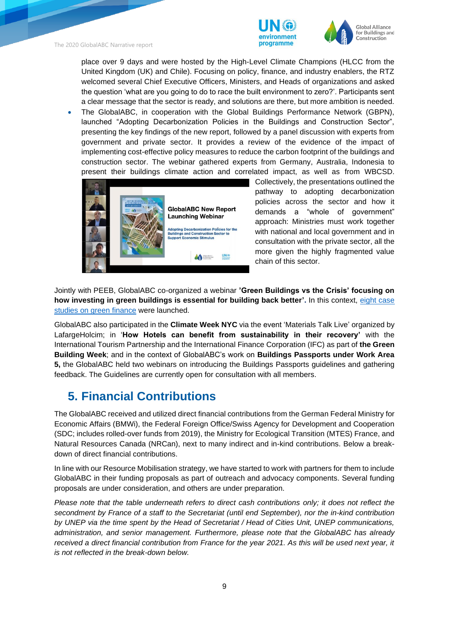



place over 9 days and were hosted by the High-Level Climate Champions (HLCC from the United Kingdom (UK) and Chile). Focusing on policy, finance, and industry enablers, the RTZ welcomed several Chief Executive Officers, Ministers, and Heads of organizations and asked the question 'what are you going to do to race the built environment to zero?'. Participants sent a clear message that the sector is ready, and solutions are there, but more ambition is needed.

• The GlobalABC, in cooperation with the Global Buildings Performance Network (GBPN), launched "Adopting Decarbonization Policies in the Buildings and Construction Sector", presenting the key findings of the new report, followed by a panel discussion with experts from government and private sector. It provides a review of the evidence of the impact of implementing cost-effective policy measures to reduce the carbon footprint of the buildings and construction sector. The webinar gathered experts from Germany, Australia, Indonesia to present their buildings climate action and correlated impact, as well as from WBCSD.



Collectively, the presentations outlined the pathway to adopting decarbonization policies across the sector and how it demands a "whole of government" approach: Ministries must work together with national and local government and in consultation with the private sector, all the more given the highly fragmented value chain of this sector.

Jointly with PEEB, GlobalABC co-organized a webinar **'Green Buildings vs the Crisis' focusing on how investing in green buildings is essential for building back better'.** In this context, [eight case](https://globalabc.org/resources/publications/stimulus-programmes-green-buildings-best-practice-examples)  [studies on green finance](https://globalabc.org/resources/publications/stimulus-programmes-green-buildings-best-practice-examples) were launched.

GlobalABC also participated in the **Climate Week NYC** via the event 'Materials Talk Live' organized by LafargeHolcim; in '**How Hotels can benefit from sustainability in their recovery'** with the International Tourism Partnership and the International Finance Corporation (IFC) as part of **the Green Building Week**; and in the context of GlobalABC's work on **Buildings Passports under Work Area 5,** the GlobalABC held two webinars on introducing the Buildings Passports guidelines and gathering feedback. The Guidelines are currently open for consultation with all members.

### <span id="page-8-0"></span>**5. Financial Contributions**

The GlobalABC received and utilized direct financial contributions from the German Federal Ministry for Economic Affairs (BMWi), the Federal Foreign Office/Swiss Agency for Development and Cooperation (SDC; includes rolled-over funds from 2019), the Ministry for Ecological Transition (MTES) France, and Natural Resources Canada (NRCan), next to many indirect and in-kind contributions. Below a breakdown of direct financial contributions.

In line with our Resource Mobilisation strategy, we have started to work with partners for them to include GlobalABC in their funding proposals as part of outreach and advocacy components. Several funding proposals are under consideration, and others are under preparation.

*Please note that the table underneath refers to direct cash contributions only; it does not reflect the secondment by France of a staff to the Secretariat (until end September), nor the in-kind contribution by UNEP via the time spent by the Head of Secretariat / Head of Cities Unit, UNEP communications, administration, and senior management. Furthermore, please note that the GlobalABC has already received a direct financial contribution from France for the year 2021. As this will be used next year, it is not reflected in the break-down below.*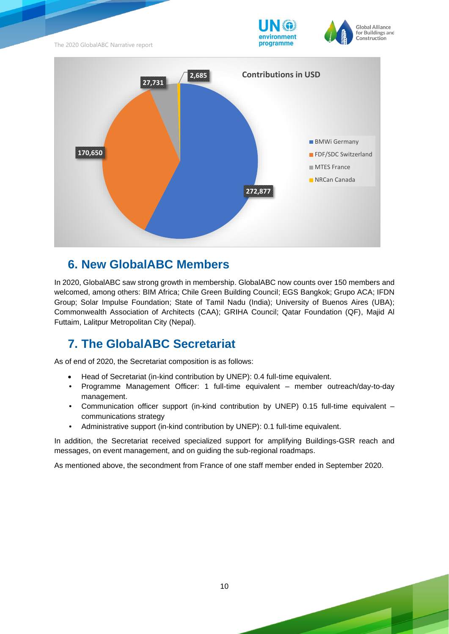



#### <span id="page-9-0"></span>**6. New GlobalABC Members**

In 2020, GlobalABC saw strong growth in membership. GlobalABC now counts over 150 members and welcomed, among others: [BIM Africa;](https://bimafrica.org/) [Chile Green Building Council;](https://www.chilegbc.cl/) [EGS Bangkok;](http://www.egs-bangkok.com/) [Grupo ACA;](https://grupo-aca.com/) [IFDN](https://ifdn.org/)  [Group;](https://ifdn.org/) [Solar Impulse Foundation;](https://solarimpulse.com/) [State of Tamil Nadu](http://www.tnifmc.com/) (India); [University of Buenos Aires](http://www.uba.ar/) (UBA); [Commonwealth Association of Architects](https://thecommonwealth.org/organisation/commonwealth-association-architects-caa) (CAA); [GRIHA Council;](https://www.grihaindia.org/) Qatar Foundation (QF), Majid Al Futtaim, Lalitpur Metropolitan City (Nepal).

### <span id="page-9-1"></span>**7. The GlobalABC Secretariat**

As of end of 2020, the Secretariat composition is as follows:

- Head of Secretariat (in-kind contribution by UNEP): 0.4 full-time equivalent.
- Programme Management Officer: 1 full-time equivalent member outreach/day-to-day management.
- Communication officer support (in-kind contribution by UNEP) 0.15 full-time equivalent communications strategy
- Administrative support (in-kind contribution by UNEP): 0.1 full-time equivalent.

In addition, the Secretariat received specialized support for amplifying Buildings-GSR reach and messages, on event management, and on guiding the sub-regional roadmaps.

As mentioned above, the secondment from France of one staff member ended in September 2020.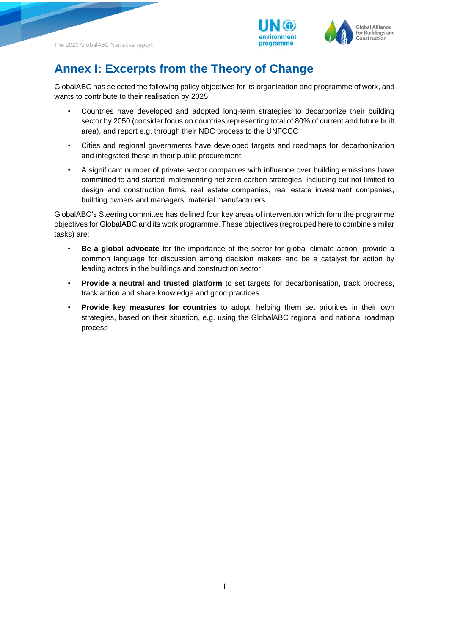



# <span id="page-10-0"></span>**Annex I: Excerpts from the Theory of Change**

GlobalABC has selected the following policy objectives for its organization and programme of work, and wants to contribute to their realisation by 2025:

- Countries have developed and adopted long-term strategies to decarbonize their building sector by 2050 (consider focus on countries representing total of 80% of current and future built area), and report e.g. through their NDC process to the UNFCCC
- Cities and regional governments have developed targets and roadmaps for decarbonization and integrated these in their public procurement
- A significant number of private sector companies with influence over building emissions have committed to and started implementing net zero carbon strategies, including but not limited to design and construction firms, real estate companies, real estate investment companies, building owners and managers, material manufacturers

GlobalABC's Steering committee has defined four key areas of intervention which form the programme objectives for GlobalABC and its work programme. These objectives (regrouped here to combine similar tasks) are:

- **Be a global advocate** for the importance of the sector for global climate action, provide a common language for discussion among decision makers and be a catalyst for action by leading actors in the buildings and construction sector
- **Provide a neutral and trusted platform** to set targets for decarbonisation, track progress, track action and share knowledge and good practices
- **Provide key measures for countries** to adopt, helping them set priorities in their own strategies, based on their situation, e.g. using the GlobalABC regional and national roadmap process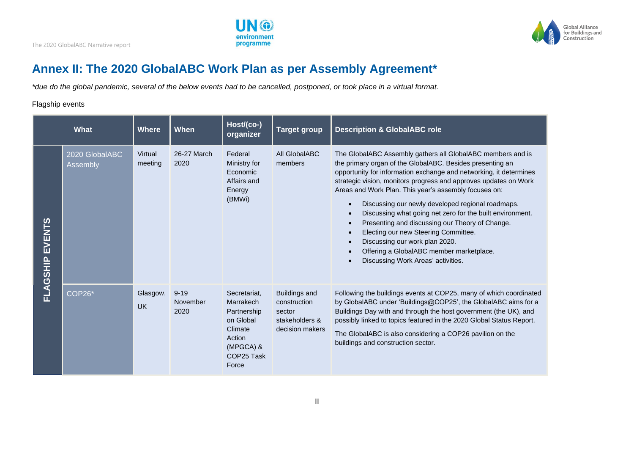



## **Annex II: The 2020 GlobalABC Work Plan as per Assembly Agreement\***

*\*due do the global pandemic, several of the below events had to be cancelled, postponed, or took place in a virtual format.* 

#### Flagship events

<span id="page-11-0"></span>

| What                   |                                   | <b>Where</b>          | <b>When</b>                  | Host/(co-)<br>organizer                                                                                        | <b>Target group</b>                                                                 | <b>Description &amp; GlobalABC role</b>                                                                                                                                                                                                                                                                                                                                                                                                                                                                                                                                                                                                                      |
|------------------------|-----------------------------------|-----------------------|------------------------------|----------------------------------------------------------------------------------------------------------------|-------------------------------------------------------------------------------------|--------------------------------------------------------------------------------------------------------------------------------------------------------------------------------------------------------------------------------------------------------------------------------------------------------------------------------------------------------------------------------------------------------------------------------------------------------------------------------------------------------------------------------------------------------------------------------------------------------------------------------------------------------------|
| <b>FLAGSHIP EVENTS</b> | 2020 GlobalABC<br><b>Assembly</b> | Virtual<br>meeting    | 26-27 March<br>2020          | Federal<br>Ministry for<br>Economic<br>Affairs and<br>Energy<br>(BMWi)                                         | All GlobalABC<br>members                                                            | The GlobalABC Assembly gathers all GlobalABC members and is<br>the primary organ of the GlobalABC. Besides presenting an<br>opportunity for information exchange and networking, it determines<br>strategic vision, monitors progress and approves updates on Work<br>Areas and Work Plan. This year's assembly focuses on:<br>Discussing our newly developed regional roadmaps.<br>Discussing what going net zero for the built environment.<br>Presenting and discussing our Theory of Change.<br>Electing our new Steering Committee.<br>Discussing our work plan 2020.<br>Offering a GlobalABC member marketplace.<br>Discussing Work Areas' activities. |
|                        | <b>COP26*</b>                     | Glasgow,<br><b>UK</b> | $9 - 19$<br>November<br>2020 | Secretariat,<br>Marrakech<br>Partnership<br>on Global<br>Climate<br>Action<br>(MPGCA) &<br>COP25 Task<br>Force | <b>Buildings and</b><br>construction<br>sector<br>stakeholders &<br>decision makers | Following the buildings events at COP25, many of which coordinated<br>by GlobalABC under 'Buildings@COP25', the GlobalABC aims for a<br>Buildings Day with and through the host government (the UK), and<br>possibly linked to topics featured in the 2020 Global Status Report.<br>The GlobalABC is also considering a COP26 pavilion on the<br>buildings and construction sector.                                                                                                                                                                                                                                                                          |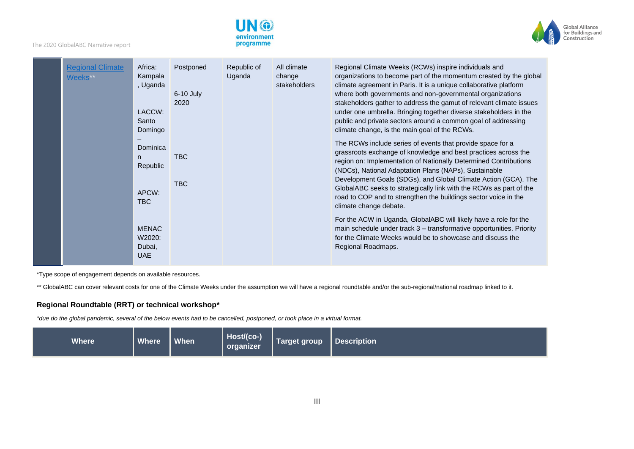



| <b>Regional Climate</b><br>Weeks** | Africa:<br>Kampala<br>, Uganda<br>LACCW:<br>Santo<br>Domingo | Postponed<br>$6-10$ July<br>2020 | Republic of<br>Uganda | All climate<br>change<br>stakeholders | Regional Climate Weeks (RCWs) inspire individuals and<br>organizations to become part of the momentum created by the global<br>climate agreement in Paris. It is a unique collaborative platform<br>where both governments and non-governmental organizations<br>stakeholders gather to address the gamut of relevant climate issues<br>under one umbrella. Bringing together diverse stakeholders in the<br>public and private sectors around a common goal of addressing<br>climate change, is the main goal of the RCWs. |
|------------------------------------|--------------------------------------------------------------|----------------------------------|-----------------------|---------------------------------------|-----------------------------------------------------------------------------------------------------------------------------------------------------------------------------------------------------------------------------------------------------------------------------------------------------------------------------------------------------------------------------------------------------------------------------------------------------------------------------------------------------------------------------|
|                                    | Dominica<br>n<br>Republic<br>APCW:<br>TBC.                   | TBC<br><b>TBC</b>                |                       |                                       | The RCWs include series of events that provide space for a<br>grassroots exchange of knowledge and best practices across the<br>region on: Implementation of Nationally Determined Contributions<br>(NDCs), National Adaptation Plans (NAPs), Sustainable<br>Development Goals (SDGs), and Global Climate Action (GCA). The<br>GlobalABC seeks to strategically link with the RCWs as part of the<br>road to COP and to strengthen the buildings sector voice in the<br>climate change debate.                              |
|                                    | <b>MENAC</b><br>W2020:<br>Dubai,<br><b>UAE</b>               |                                  |                       |                                       | For the ACW in Uganda, GlobalABC will likely have a role for the<br>main schedule under track 3 - transformative opportunities. Priority<br>for the Climate Weeks would be to showcase and discuss the<br>Regional Roadmaps.                                                                                                                                                                                                                                                                                                |

\*Type scope of engagement depends on available resources.

\*\* GlobalABC can cover relevant costs for one of the Climate Weeks under the assumption we will have a regional roundtable and/or the sub-regional/national roadmap linked to it.

#### **Regional Roundtable (RRT) or technical workshop\***

*\*due do the global pandemic, several of the below events had to be cancelled, postponed, or took place in a virtual format.*

| $Host/(co-)$<br><b>Where</b><br><b>Where</b><br>Description<br>When<br>Target group<br>organizer |  |
|--------------------------------------------------------------------------------------------------|--|
|--------------------------------------------------------------------------------------------------|--|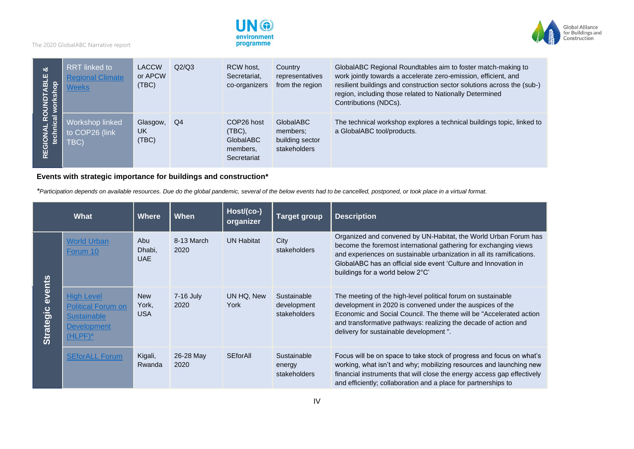



| య<br>ABLE<br>workshop<br>ROUNDT | <b>RRT</b> linked to<br><b>Regional Climate</b><br>Weeks | <b>LACCW</b><br>or APCW<br>(TEC) | Q2/Q3 | RCW host.<br>Secretariat,<br>co-organizers                      | Country<br>representatives<br>from the region                   | GlobalABC Regional Roundtables aim to foster match-making to<br>work jointly towards a accelerate zero-emission, efficient, and<br>resilient buildings and construction sector solutions across the (sub-)<br>region, including those related to Nationally Determined<br>Contributions (NDCs). |
|---------------------------------|----------------------------------------------------------|----------------------------------|-------|-----------------------------------------------------------------|-----------------------------------------------------------------|-------------------------------------------------------------------------------------------------------------------------------------------------------------------------------------------------------------------------------------------------------------------------------------------------|
| REGIONAL RO<br>Lechnical        | Workshop linked<br>to COP26 (link<br>TBC)                | Glasgow,<br>UK<br>(TBC)          | Q4    | COP26 host<br>$(TEC)$ ,<br>GlobalABC<br>members,<br>Secretariat | <b>GlobalABC</b><br>members;<br>building sector<br>stakeholders | The technical workshop explores a technical buildings topic, linked to<br>a GlobalABC tool/products.                                                                                                                                                                                            |

#### **Events with strategic importance for buildings and construction\***

*\*Participation depends on available resources. Due do the global pandemic, several of the below events had to be cancelled, postponed, or took place in a virtual format.*

|                            | What                                                                                                     | <b>Where</b>                      | <b>When</b>         | Host/(co-)<br>organizer | <b>Target group</b>                        | <b>Description</b>                                                                                                                                                                                                                                                                                                  |
|----------------------------|----------------------------------------------------------------------------------------------------------|-----------------------------------|---------------------|-------------------------|--------------------------------------------|---------------------------------------------------------------------------------------------------------------------------------------------------------------------------------------------------------------------------------------------------------------------------------------------------------------------|
|                            | <b>World Urban</b><br>Forum 10                                                                           | Abu<br>Dhabi,<br><b>UAE</b>       | 8-13 March<br>2020  | <b>UN Habitat</b>       | City<br>stakeholders                       | Organized and convened by UN-Habitat, the World Urban Forum has<br>become the foremost international gathering for exchanging views<br>and experiences on sustainable urbanization in all its ramifications.<br>GlobalABC has an official side event 'Culture and Innovation in<br>buildings for a world below 2°C' |
| events<br><b>Strategic</b> | <b>High Level</b><br><b>Political Forum on</b><br><b>Sustainable</b><br><b>Development</b><br>$(HLPF)^*$ | <b>New</b><br>York,<br><b>USA</b> | $7-16$ July<br>2020 | UN HQ, New<br>York      | Sustainable<br>development<br>stakeholders | The meeting of the high-level political forum on sustainable<br>development in 2020 is convened under the auspices of the<br>Economic and Social Council. The theme will be "Accelerated action<br>and transformative pathways: realizing the decade of action and<br>delivery for sustainable development".        |
|                            | <b>SEforALL Forum</b>                                                                                    | Kigali,<br>Rwanda                 | 26-28 May<br>2020   | SEforAll                | Sustainable<br>energy<br>stakeholders      | Focus will be on space to take stock of progress and focus on what's<br>working, what isn't and why; mobilizing resources and launching new<br>financial instruments that will close the energy access gap effectively<br>and efficiently; collaboration and a place for partnerships to                            |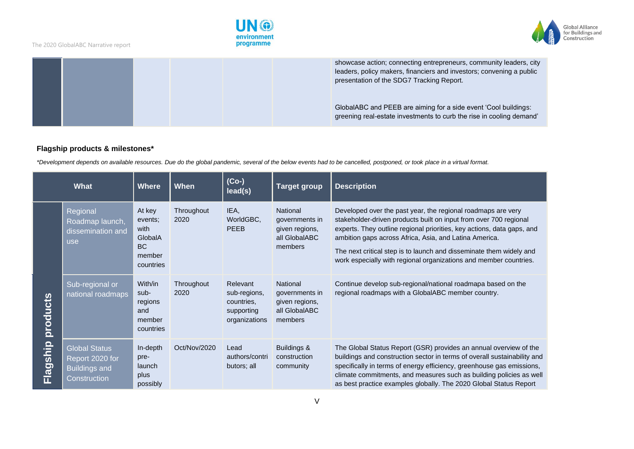



|  |  | showcase action; connecting entrepreneurs, community leaders, city<br>leaders, policy makers, financiers and investors; convening a public<br>presentation of the SDG7 Tracking Report. |
|--|--|-----------------------------------------------------------------------------------------------------------------------------------------------------------------------------------------|
|  |  | GlobalABC and PEEB are aiming for a side event 'Cool buildings:<br>greening real-estate investments to curb the rise in cooling demand'                                                 |

#### **Flagship products & milestones\***

*\*Development depends on available resources. Due do the global pandemic, several of the below events had to be cancelled, postponed, or took place in a virtual format.*

| <b>What</b>                 |                                                                                 | <b>Where</b>                                                             | <b>When</b>        | $(Co-)$<br>lead(s)                                                    | <b>Target group</b>                                                             | <b>Description</b>                                                                                                                                                                                                                                                                                                                                                                                                |
|-----------------------------|---------------------------------------------------------------------------------|--------------------------------------------------------------------------|--------------------|-----------------------------------------------------------------------|---------------------------------------------------------------------------------|-------------------------------------------------------------------------------------------------------------------------------------------------------------------------------------------------------------------------------------------------------------------------------------------------------------------------------------------------------------------------------------------------------------------|
| <b>products</b><br>Flagship | Regional<br>Roadmap launch,<br>dissemination and<br>use                         | At key<br>events:<br>with<br>GlobalA<br><b>BC</b><br>member<br>countries | Throughout<br>2020 | IEA,<br>WorldGBC,<br><b>PEEB</b>                                      | National<br>governments in<br>given regions,<br>all GlobalABC<br>members        | Developed over the past year, the regional roadmaps are very<br>stakeholder-driven products built on input from over 700 regional<br>experts. They outline regional priorities, key actions, data gaps, and<br>ambition gaps across Africa, Asia, and Latina America.<br>The next critical step is to launch and disseminate them widely and<br>work especially with regional organizations and member countries. |
|                             | Sub-regional or<br>national roadmaps                                            | With/in<br>sub-<br>regions<br>and<br>member<br>countries                 | Throughout<br>2020 | Relevant<br>sub-regions,<br>countries.<br>supporting<br>organizations | <b>National</b><br>governments in<br>given regions,<br>all GlobalABC<br>members | Continue develop sub-regional/national roadmapa based on the<br>regional roadmaps with a GlobalABC member country.                                                                                                                                                                                                                                                                                                |
|                             | <b>Global Status</b><br>Report 2020 for<br><b>Buildings and</b><br>Construction | In-depth<br>pre-<br>launch<br>plus<br>possibly                           | Oct/Nov/2020       | Lead<br>authors/contri<br>butors; all                                 | Buildings &<br>construction<br>community                                        | The Global Status Report (GSR) provides an annual overview of the<br>buildings and construction sector in terms of overall sustainability and<br>specifically in terms of energy efficiency, greenhouse gas emissions,<br>climate commitments, and measures such as building policies as well<br>as best practice examples globally. The 2020 Global Status Report                                                |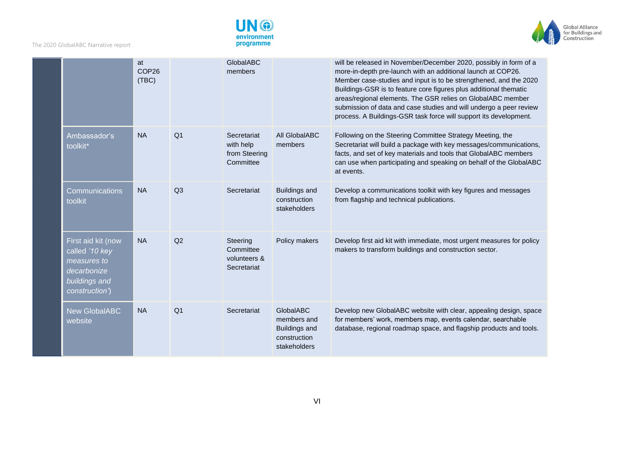



|                                                                                                              | at<br>COP <sub>26</sub><br>(TBC) |                | GlobalABC<br>members                                   |                                                                                  | will be released in November/December 2020, possibly in form of a<br>more-in-depth pre-launch with an additional launch at COP26.<br>Member case-studies and input is to be strengthened, and the 2020<br>Buildings-GSR is to feature core figures plus additional thematic<br>areas/regional elements. The GSR relies on GlobalABC member<br>submission of data and case studies and will undergo a peer review<br>process. A Buildings-GSR task force will support its development. |
|--------------------------------------------------------------------------------------------------------------|----------------------------------|----------------|--------------------------------------------------------|----------------------------------------------------------------------------------|---------------------------------------------------------------------------------------------------------------------------------------------------------------------------------------------------------------------------------------------------------------------------------------------------------------------------------------------------------------------------------------------------------------------------------------------------------------------------------------|
| Ambassador's<br>toolkit*                                                                                     | <b>NA</b>                        | Q <sub>1</sub> | Secretariat<br>with help<br>from Steering<br>Committee | All GlobalABC<br>members                                                         | Following on the Steering Committee Strategy Meeting, the<br>Secretariat will build a package with key messages/communications,<br>facts, and set of key materials and tools that GlobalABC members<br>can use when participating and speaking on behalf of the GlobalABC<br>at events.                                                                                                                                                                                               |
| Communications<br>toolkit                                                                                    | <b>NA</b>                        | Q3             | Secretariat                                            | <b>Buildings and</b><br>construction<br>stakeholders                             | Develop a communications toolkit with key figures and messages<br>from flagship and technical publications.                                                                                                                                                                                                                                                                                                                                                                           |
| First aid kit (now<br>called '10 key<br>measures to<br>decarbonize<br><b>buildings</b> and<br>construction') | <b>NA</b>                        | Q2             | Steering<br>Committee<br>volunteers &<br>Secretariat   | Policy makers                                                                    | Develop first aid kit with immediate, most urgent measures for policy<br>makers to transform buildings and construction sector.                                                                                                                                                                                                                                                                                                                                                       |
| <b>New GlobalABC</b><br>website                                                                              | <b>NA</b>                        | Q <sub>1</sub> | Secretariat                                            | GlobalABC<br>members and<br><b>Buildings and</b><br>construction<br>stakeholders | Develop new GlobalABC website with clear, appealing design, space<br>for members' work, members map, events calendar, searchable<br>database, regional roadmap space, and flagship products and tools.                                                                                                                                                                                                                                                                                |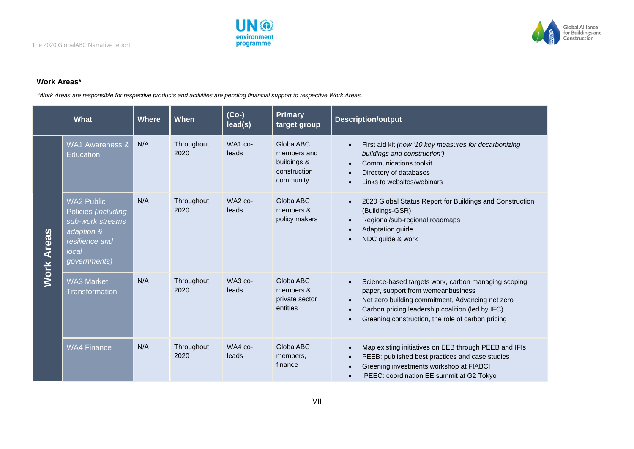

#### **Work Areas\***

*\*Work Areas are responsible for respective products and activities are pending financial support to respective Work Areas.*

|                   | <b>What</b>                                                                                                           | <b>Where</b> | <b>When</b>        | $(Co-)$<br>lead(s) | <b>Primary</b><br>target group                                              | <b>Description/output</b>                                                                                                                                                                                                                                           |
|-------------------|-----------------------------------------------------------------------------------------------------------------------|--------------|--------------------|--------------------|-----------------------------------------------------------------------------|---------------------------------------------------------------------------------------------------------------------------------------------------------------------------------------------------------------------------------------------------------------------|
|                   | <b>WA1 Awareness &amp;</b><br><b>Education</b>                                                                        | N/A          | Throughout<br>2020 | WA1 co-<br>leads   | <b>GlobalABC</b><br>members and<br>buildings &<br>construction<br>community | First aid kit (now '10 key measures for decarbonizing<br>buildings and construction')<br>Communications toolkit<br>Directory of databases<br>Links to websites/webinars                                                                                             |
| <b>Work Areas</b> | <b>WA2 Public</b><br>Policies (including<br>sub-work streams<br>adaption &<br>resilience and<br>local<br>governments) | N/A          | Throughout<br>2020 | $WA2 co-$<br>leads | GlobalABC<br>members &<br>policy makers                                     | 2020 Global Status Report for Buildings and Construction<br>(Buildings-GSR)<br>Regional/sub-regional roadmaps<br>Adaptation guide<br>NDC guide & work                                                                                                               |
|                   | <b>WA3 Market</b><br><b>Transformation</b>                                                                            | N/A          | Throughout<br>2020 | WA3 co-<br>leads   | GlobalABC<br>members &<br>private sector<br>entities                        | Science-based targets work, carbon managing scoping<br>paper, support from wemeanbusiness<br>Net zero building commitment, Advancing net zero<br>$\bullet$<br>Carbon pricing leadership coalition (led by IFC)<br>Greening construction, the role of carbon pricing |
|                   | <b>WA4 Finance</b>                                                                                                    | N/A          | Throughout<br>2020 | $WA4$ co-<br>leads | <b>GlobalABC</b><br>members,<br>finance                                     | Map existing initiatives on EEB through PEEB and IFIs<br>PEEB: published best practices and case studies<br>$\bullet$<br>Greening investments workshop at FIABCI<br>IPEEC: coordination EE summit at G2 Tokyo                                                       |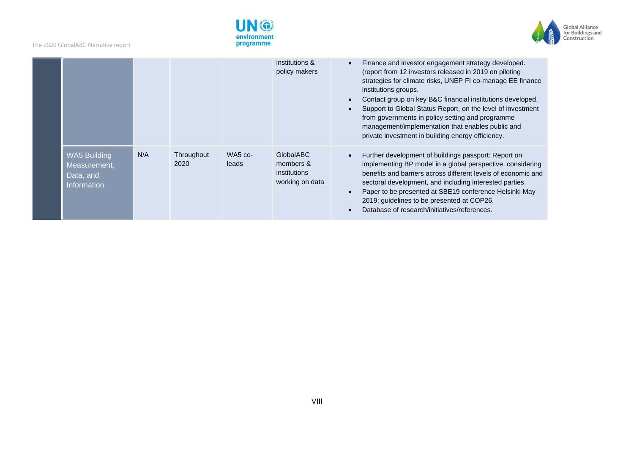



|                                                                        |     |                    |                  | institutions &<br>policy makers                           | Finance and investor engagement strategy developed.<br>(report from 12 investors released in 2019 on piloting<br>strategies for climate risks, UNEP FI co-manage EE finance<br>institutions groups.<br>Contact group on key B&C financial institutions developed.<br>Support to Global Status Report, on the level of investment<br>from governments in policy setting and programme<br>management/implementation that enables public and<br>private investment in building energy efficiency. |
|------------------------------------------------------------------------|-----|--------------------|------------------|-----------------------------------------------------------|------------------------------------------------------------------------------------------------------------------------------------------------------------------------------------------------------------------------------------------------------------------------------------------------------------------------------------------------------------------------------------------------------------------------------------------------------------------------------------------------|
| <b>WA5 Building</b><br>Measurement,<br>Data, and<br><b>Information</b> | N/A | Throughout<br>2020 | WA5 co-<br>leads | GlobalABC<br>members &<br>institutions<br>working on data | Further development of buildings passport: Report on<br>implementing BP model in a global perspective, considering<br>benefits and barriers across different levels of economic and<br>sectoral development, and including interested parties.<br>Paper to be presented at SBE19 conference Helsinki May<br>2019; guidelines to be presented at COP26.<br>Database of research/initiatives/references.                                                                                         |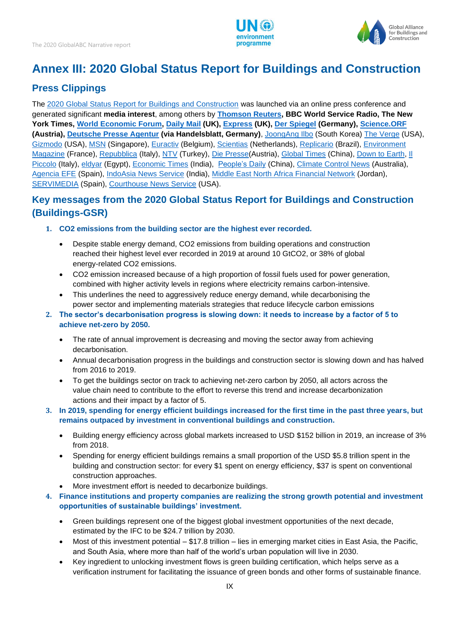



### <span id="page-18-0"></span>**Annex III: 2020 Global Status Report for Buildings and Construction**

#### <span id="page-18-1"></span>**Press Clippings**

The [2020 Global Status Report for Buildings and Construction](http://globalabc.org/news/launched-2020-global-status-report-buildings-and-construction) was launched via an online press conference and generated significant **media interest**, among others by **[Thomson Reuters,](https://news.trust.org/item/20201216162555-kfykb/) BBC World Service Radio, The New York Times, [World Economic Forum,](https://www.weforum.org/agenda/2021/01/planet-warming-emissions-buildings-construction-climate-goals-risk/) [Daily Mail](https://www.dailymail.co.uk/sciencetech/article-9059249/Construction-related-CO2-emissions-hit-record-high-report-reveals.html) (UK), [Express](https://www.express.co.uk/news/uk/1373202/amazon-plastic-air-packaging-environmental-damage) (UK), [Der Spiegel](https://www.spiegel.de/wissenschaft/mensch/klimawandel-38-prozent-der-co2-emissionen-stammen-aus-dem-gebaeudesektor-a-b31a21c4-a3bb-4b00-a5fc-869091ee6ca4) (Germany), [Science.ORF](https://science.orf.at/stories/3203591/) (Austria), [Deutsche Presse Agentur](https://www.handelsblatt.com/dpa/wirtschaft-handel-und-finanzen-un-behoerde-co2-ausstoss-im-gebaeude-und-bausektor-auf-hoechstniveau/26725036.html) (via Handelsblatt, Germany)**, [JoongAng Ilbo](https://news.joins.com/article/23947630?cloc=joongang-section-moredigitalfirst) (South Korea) [The Verge](https://www.theverge.com/22178481/buildings-greenhouse-gas-emissions-climate-change-united-nations-report) (USA), [Gizmodo](https://earther.gizmodo.com/buildings-are-becoming-a-huge-source-of-carbon-pollutio-1845890582) (USA), [MSN](https://www.msn.com/en-sg/news/techandscience/the-stimulus-bill-will-phase-out-super-greenhouse-gases/ar-BB1c9p46) (Singapore), [Euractiv](https://www.euractiv.com/section/energy/news/planet-warming-emissions-from-buildings-put-climate-goals-at-risk/) (Belgium), [Scientias](https://www.scientias.nl/co2-uitstoot-van-de-bouw-bereikt-recordhoogte/) (Netherlands), [Replicario](https://replicario.com.br/como-reduzir-as-crescentes-emissoes-de-gases-de-efeito-estufa-dos-edificios/) (Brazil), Environment [Magazine](https://www.environnement-magazine.fr/pollutions/article/2020/12/16/131589/2019-les-emissions-co2-des-batiments-atteignent-des-sommets) (France), [Repubblica](https://www.repubblica.it/green-and-blue/2020/12/17/news/rapporto_onu_le_emissioni_di_co2_legate_agli_edifici_hanno_raggiunto_il_record-278668982/) (Italy), [NTV](https://www.ntv.com.tr/dunya/insaat-ve-yapi-endustrisi-dunyadaki-karbon-emisyonlarinin-ucte-birinden-fazlasina-neden-oluyor,Z_R8Oi4poEG2H4_d_qUSTg) (Turkey), [Die Presse\(](https://www.diepresse.com/5912673/unep-co2-ausstoss-im-gebaude-und-bausektor-auf-hochstniveau)Austria), [Global Times](https://www.globaltimes.cn/content/1210260.shtml) (China), [Down to Earth,](https://www.downtoearth.org.in/news/air/co2-emissions-from-building-sector-highest-in-2019-unep-74674) [Il](https://nuovavenezia.gelocal.it/green-and-blue/2020/12/17/news/rapporto_onu_le_emissioni_di_co2_legate_agli_edifici_hanno_raggiunto_il_record-278668982/)  [Piccolo](https://nuovavenezia.gelocal.it/green-and-blue/2020/12/17/news/rapporto_onu_le_emissioni_di_co2_legate_agli_edifici_hanno_raggiunto_il_record-278668982/) (Italy), [eldyar](https://www.eldyar.net/show286881) (Egypt), [Economic Times](https://energy.economictimes.indiatimes.com/news/coal/79771220) (India), [People's Daily](http://french.peopledaily.com.cn/Afrique/n3/2020/1217/c96852-9800100.html) (China), [Climate Control News](https://www.climatecontrolnews.com.au/news/latest/record-breaking-emissions-from-global-building-sector) (Australia), [Agencia EFE](https://www.efe.com/efe/espana/sociedad/edificios-y-el-sector-de-la-construccion-suman-38-las-emisiones-globales-co2/10004-4420918?utm_source=wwwefecom&utm_medium=rss&utm_campaign=rss) (Spain), [IndoAsia News Service](https://www.prokerala.com/news/articles/a1112381.html) (India), [Middle East North Africa Financial Network](https://menafn.com/1101291035/Buildings-related-emissions-hit-record-high-Report) (Jordan), [SERVIMEDIA](http://www.diariosigloxxi.com/texto-s/mostrar/391760/emisiones-mundiales-co2-edificios-marcan-nuevo-record-anual-segun-onu) (Spain), [Courthouse News Service](https://www.courthousenews.com/un-says-green-buildings-hold-key-to-net-zero-carbon-goal/) (USA).

#### <span id="page-18-2"></span>**Key messages from the 2020 Global Status Report for Buildings and Construction (Buildings-GSR)**

- **1. CO2 emissions from the building sector are the highest ever recorded.**
	- Despite stable energy demand, CO2 emissions from building operations and construction reached their highest level ever recorded in 2019 at around 10 GtCO2, or 38% of global energy-related CO2 emissions.
	- CO2 emission increased because of a high proportion of fossil fuels used for power generation, combined with higher activity levels in regions where electricity remains carbon-intensive.
	- This underlines the need to aggressively reduce energy demand, while decarbonising the power sector and implementing materials strategies that reduce lifecycle carbon emissions
- **2. The sector's decarbonisation progress is slowing down: it needs to increase by a factor of 5 to achieve net-zero by 2050.** 
	- The rate of annual improvement is decreasing and moving the sector away from achieving decarbonisation.
	- Annual decarbonisation progress in the buildings and construction sector is slowing down and has halved from 2016 to 2019.
	- To get the buildings sector on track to achieving net-zero carbon by 2050, all actors across the value chain need to contribute to the effort to reverse this trend and increase decarbonization actions and their impact by a factor of 5.
- **3. In 2019, spending for energy efficient buildings increased for the first time in the past three years, but remains outpaced by investment in conventional buildings and construction.** 
	- Building energy efficiency across global markets increased to USD \$152 billion in 2019, an increase of 3% from 2018.
	- Spending for energy efficient buildings remains a small proportion of the USD \$5.8 trillion spent in the building and construction sector: for every \$1 spent on energy efficiency, \$37 is spent on conventional construction approaches.
	- More investment effort is needed to decarbonize buildings.
- **4. Finance institutions and property companies are realizing the strong growth potential and investment opportunities of sustainable buildings' investment.**
	- Green buildings represent one of the biggest global investment opportunities of the next decade, estimated by the IFC to be \$24.7 trillion by 2030.
	- Most of this investment potential \$17.8 trillion lies in emerging market cities in East Asia, the Pacific, and South Asia, where more than half of the world's urban population will live in 2030.
	- Key ingredient to unlocking investment flows is green building certification, which helps serve as a verification instrument for facilitating the issuance of green bonds and other forms of sustainable finance.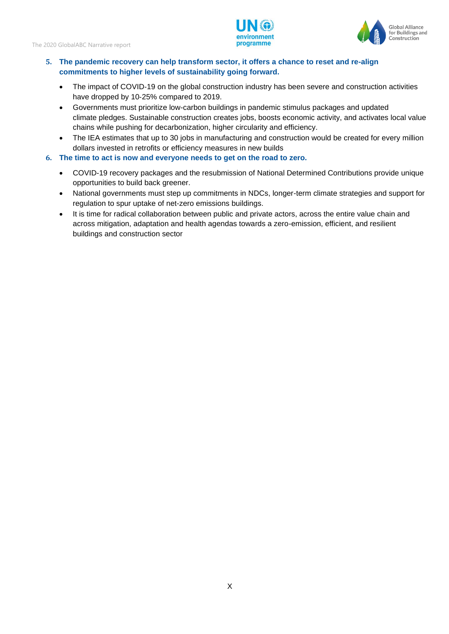



- **5. The pandemic recovery can help transform sector, it offers a chance to reset and re-align commitments to higher levels of sustainability going forward.**
	- The impact of COVID-19 on the global construction industry has been severe and construction activities have dropped by 10‐25% compared to 2019.
	- Governments must prioritize low-carbon buildings in pandemic stimulus packages and updated climate pledges. Sustainable construction creates jobs, boosts economic activity, and activates local value chains while pushing for decarbonization, higher circularity and efficiency.
	- The IEA estimates that up to 30 jobs in manufacturing and construction would be created for every million dollars invested in retrofits or efficiency measures in new builds
- **6. The time to act is now and everyone needs to get on the road to zero.**
	- COVID-19 recovery packages and the resubmission of National Determined Contributions provide unique opportunities to build back greener.
	- National governments must step up commitments in NDCs, longer-term climate strategies and support for regulation to spur uptake of net-zero emissions buildings.
	- It is time for radical collaboration between public and private actors, across the entire value chain and across mitigation, adaptation and health agendas towards a zero-emission, efficient, and resilient buildings and construction sector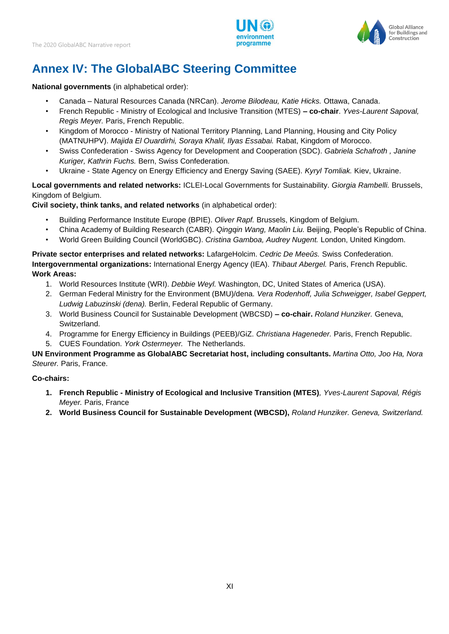



# <span id="page-20-0"></span>**Annex IV: The GlobalABC Steering Committee**

**National governments** (in alphabetical order):

- Canada Natural Resources Canada (NRCan). *Jerome Bilodeau, Katie Hicks.* Ottawa, Canada.
- French Republic Ministry of Ecological and Inclusive Transition (MTES) **– co-chair**. *Yves-Laurent Sapoval, Regis Meyer.* Paris, French Republic.
- Kingdom of Morocco Ministry of National Territory Planning, Land Planning, Housing and City Policy (MATNUHPV). *Majida El Ouardirhi, Soraya Khalil, Ilyas Essabai.* Rabat, Kingdom of Morocco.
- Swiss Confederation Swiss Agency for Development and Cooperation (SDC). *Gabriela Schafroth , Janine Kuriger, Kathrin Fuchs.* Bern, Swiss Confederation.
- Ukraine State Agency on Energy Efficiency and Energy Saving (SAEE). *Kyryl Tomliak.* Kiev, Ukraine.

**Local governments and related networks:** ICLEI-Local Governments for Sustainability. *Giorgia Rambelli.* Brussels, Kingdom of Belgium.

**Civil society, think tanks, and related networks** (in alphabetical order):

- Building Performance Institute Europe (BPIE). *Oliver Rapf.* Brussels, Kingdom of Belgium.
- China Academy of Building Research (CABR). *Qingqin Wang, Maolin Liu.* Beijing, People's Republic of China.
- World Green Building Council (WorldGBC). *Cristina Gamboa, Audrey Nugent.* London, United Kingdom.

**Private sector enterprises and related networks:** LafargeHolcim. *Cedric De Meeûs.* Swiss Confederation. **Intergovernmental organizations:** International Energy Agency (IEA). *Thibaut Abergel.* Paris, French Republic. **Work Areas:** 

- 1. World Resources Institute (WRI). *Debbie Weyl.* Washington, DC, United States of America (USA).
- 2. German Federal Ministry for the Environment (BMU)/dena. *Vera Rodenhoff, Julia Schweigger, Isabel Geppert, Ludwig Labuzinski (dena).* Berlin, Federal Republic of Germany.
- 3. World Business Council for Sustainable Development (WBCSD) **– co-chair.** *Roland Hunziker.* Geneva, Switzerland.
- 4. Programme for Energy Efficiency in Buildings (PEEB)/GiZ. *Christiana Hageneder.* Paris, French Republic.
- 5. CUES Foundation. *York Ostermeyer.* The Netherlands.

**UN Environment Programme as GlobalABC Secretariat host, including consultants.** *Martina Otto, Joo Ha, Nora Steurer.* Paris, France.

**Co-chairs:** 

- **1. French Republic - Ministry of Ecological and Inclusive Transition (MTES)***, Yves-Laurent Sapoval, Régis Meyer.* Paris, France
- **2. World Business Council for Sustainable Development (WBCSD),** *Roland Hunziker. Geneva, Switzerland.*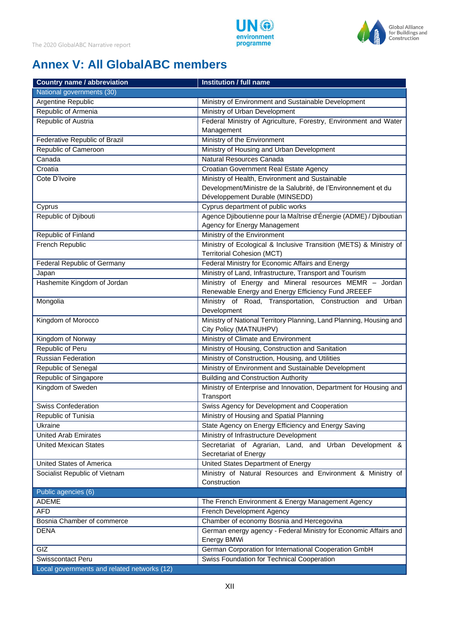



# <span id="page-21-0"></span>**Annex V: All GlobalABC members**

| <b>Country name / abbreviation</b>          | <b>Institution / full name</b>                                                                     |
|---------------------------------------------|----------------------------------------------------------------------------------------------------|
| National governments (30)                   |                                                                                                    |
| Argentine Republic                          | Ministry of Environment and Sustainable Development                                                |
| Republic of Armenia                         | Ministry of Urban Development                                                                      |
| Republic of Austria                         | Federal Ministry of Agriculture, Forestry, Environment and Water                                   |
|                                             | Management                                                                                         |
| Federative Republic of Brazil               | Ministry of the Environment                                                                        |
| Republic of Cameroon                        | Ministry of Housing and Urban Development                                                          |
| Canada                                      | Natural Resources Canada                                                                           |
| Croatia                                     | Croatian Government Real Estate Agency                                                             |
| Cote D'Ivoire                               | Ministry of Health, Environment and Sustainable                                                    |
|                                             | Development/Ministre de la Salubrité, de l'Environnement et du                                     |
|                                             | Développement Durable (MINSEDD)                                                                    |
| Cyprus                                      | Cyprus department of public works                                                                  |
| Republic of Djibouti                        | Agence Djiboutienne pour la Maîtrise d'Énergie (ADME) / Djiboutian<br>Agency for Energy Management |
| Republic of Finland                         | Ministry of the Environment                                                                        |
| French Republic                             | Ministry of Ecological & Inclusive Transition (METS) & Ministry of                                 |
|                                             | Territorial Cohesion (MCT)                                                                         |
| Federal Republic of Germany                 | Federal Ministry for Economic Affairs and Energy                                                   |
| Japan                                       | Ministry of Land, Infrastructure, Transport and Tourism                                            |
| Hashemite Kingdom of Jordan                 | Ministry of Energy and Mineral resources MEMR - Jordan                                             |
|                                             | Renewable Energy and Energy Efficiency Fund JREEEF                                                 |
| Mongolia                                    | Ministry of Road, Transportation, Construction and Urban                                           |
|                                             | Development                                                                                        |
| Kingdom of Morocco                          | Ministry of National Territory Planning, Land Planning, Housing and                                |
|                                             | City Policy (MATNUHPV)                                                                             |
| Kingdom of Norway                           | Ministry of Climate and Environment                                                                |
| Republic of Peru                            | Ministry of Housing, Construction and Sanitation                                                   |
| <b>Russian Federation</b>                   | Ministry of Construction, Housing, and Utilities                                                   |
| Republic of Senegal                         | Ministry of Environment and Sustainable Development                                                |
| Republic of Singapore                       | <b>Building and Construction Authority</b>                                                         |
| Kingdom of Sweden                           | Ministry of Enterprise and Innovation, Department for Housing and                                  |
|                                             | Transport                                                                                          |
| <b>Swiss Confederation</b>                  | Swiss Agency for Development and Cooperation                                                       |
| Republic of Tunisia                         | Ministry of Housing and Spatial Planning                                                           |
| Ukraine                                     | State Agency on Energy Efficiency and Energy Saving                                                |
| <b>United Arab Emirates</b>                 | Ministry of Infrastructure Development                                                             |
| <b>United Mexican States</b>                | Secretariat of Agrarian, Land, and Urban Development &                                             |
|                                             | Secretariat of Energy                                                                              |
| United States of America                    | United States Department of Energy                                                                 |
| Socialist Republic of Vietnam               | Ministry of Natural Resources and Environment & Ministry of<br>Construction                        |
| Public agencies (6)                         |                                                                                                    |
| <b>ADEME</b>                                | The French Environment & Energy Management Agency                                                  |
| <b>AFD</b>                                  | French Development Agency                                                                          |
| Bosnia Chamber of commerce                  | Chamber of economy Bosnia and Hercegovina                                                          |
| <b>DENA</b>                                 | German energy agency - Federal Ministry for Economic Affairs and                                   |
|                                             | Energy BMWi                                                                                        |
| GIZ                                         | German Corporation for International Cooperation GmbH                                              |
| Swisscontact Peru                           | Swiss Foundation for Technical Cooperation                                                         |
| Local governments and related networks (12) |                                                                                                    |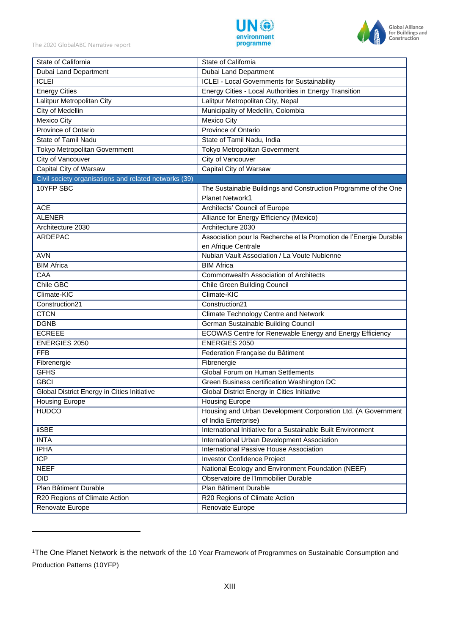



| State of California                                   | State of California                                                |
|-------------------------------------------------------|--------------------------------------------------------------------|
| <b>Dubai Land Department</b>                          | <b>Dubai Land Department</b>                                       |
| <b>ICLEI</b>                                          | <b>ICLEI - Local Governments for Sustainability</b>                |
| <b>Energy Cities</b>                                  | Energy Cities - Local Authorities in Energy Transition             |
| Lalitpur Metropolitan City                            | Lalitpur Metropolitan City, Nepal                                  |
| <b>City of Medellin</b>                               | Municipality of Medellin, Colombia                                 |
| Mexico City                                           | <b>Mexico City</b>                                                 |
| Province of Ontario                                   | Province of Ontario                                                |
| State of Tamil Nadu                                   | State of Tamil Nadu, India                                         |
| Tokyo Metropolitan Government                         | <b>Tokyo Metropolitan Government</b>                               |
| City of Vancouver                                     | <b>City of Vancouver</b>                                           |
| Capital City of Warsaw                                | Capital City of Warsaw                                             |
| Civil society organisations and related networks (39) |                                                                    |
| 10YFP SBC                                             | The Sustainable Buildings and Construction Programme of the One    |
|                                                       | Planet Network1                                                    |
| <b>ACE</b>                                            | Architects' Council of Europe                                      |
| <b>ALENER</b>                                         | Alliance for Energy Efficiency (Mexico)                            |
| Architecture 2030                                     | Architecture 2030                                                  |
| ARDEPAC                                               | Association pour la Recherche et la Promotion de l'Energie Durable |
|                                                       | en Afrique Centrale                                                |
| <b>AVN</b>                                            | Nubian Vault Association / La Voute Nubienne                       |
| <b>BIM Africa</b>                                     | <b>BIM Africa</b>                                                  |
| CAA                                                   | <b>Commonwealth Association of Architects</b>                      |
| Chile GBC                                             | Chile Green Building Council                                       |
| Climate-KIC                                           | Climate-KIC                                                        |
| Construction21                                        | Construction21                                                     |
| <b>CTCN</b>                                           | <b>Climate Technology Centre and Network</b>                       |
| <b>DGNB</b>                                           | German Sustainable Building Council                                |
| <b>ECREEE</b>                                         | <b>ECOWAS Centre for Renewable Energy and Energy Efficiency</b>    |
| <b>ENERGIES 2050</b>                                  | ENERGIES 2050                                                      |
| <b>FFB</b>                                            | Federation Française du Bâtiment                                   |
| Fibrenergie                                           | Fibrenergie                                                        |
| <b>GFHS</b>                                           | Global Forum on Human Settlements                                  |
| <b>GBCI</b>                                           | Green Business certification Washington DC                         |
| Global District Energy in Cities Initiative           | Global District Energy in Cities Initiative                        |
| <b>Housing Europe</b>                                 | <b>Housing Europe</b>                                              |
| <b>HUDCO</b>                                          | Housing and Urban Development Corporation Ltd. (A Government       |
|                                                       | of India Enterprise)                                               |
| <b>iiSBE</b>                                          | International Initiative for a Sustainable Built Environment       |
| <b>INTA</b>                                           | International Urban Development Association                        |
| <b>IPHA</b>                                           | International Passive House Association                            |
| $\overline{ICP}$                                      | Investor Confidence Project                                        |
| <b>NEEF</b>                                           | National Ecology and Environment Foundation (NEEF)                 |
| <b>OID</b>                                            | Observatoire de l'Immobilier Durable                               |
| Plan Bâtiment Durable                                 | Plan Bâtiment Durable                                              |
| R20 Regions of Climate Action                         | R20 Regions of Climate Action                                      |
| Renovate Europe                                       | Renovate Europe                                                    |

<sup>1</sup>The One Planet Network is the network of the 10 Year Framework of Programmes on Sustainable Consumption and Production Patterns (10YFP)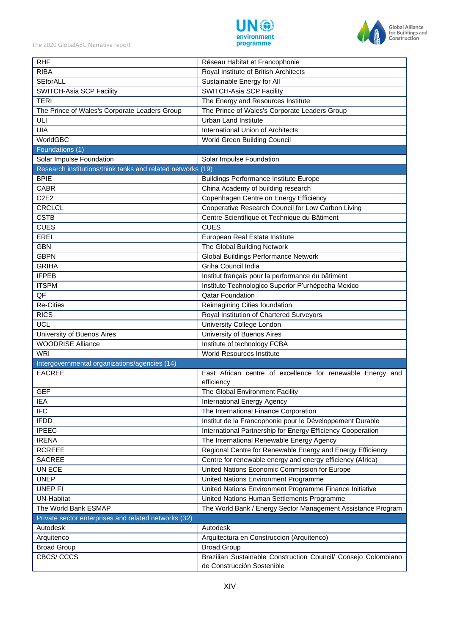



| <b>RHF</b>                                                  | Réseau Habitat et Francophonie                                 |
|-------------------------------------------------------------|----------------------------------------------------------------|
| <b>RIBA</b>                                                 | Royal Institute of British Architects                          |
| SEforALL                                                    | Sustainable Energy for All                                     |
| SWITCH-Asia SCP Facility                                    | <b>SWITCH-Asia SCP Facility</b>                                |
| <b>TERI</b>                                                 | The Energy and Resources Institute                             |
| The Prince of Wales's Corporate Leaders Group               | The Prince of Wales's Corporate Leaders Group                  |
| ULI                                                         | <b>Urban Land Institute</b>                                    |
| <b>UIA</b>                                                  | International Union of Architects                              |
| WorldGBC                                                    | World Green Building Council                                   |
| Foundations (1)                                             |                                                                |
| Solar Impulse Foundation                                    | Solar Impulse Foundation                                       |
| Research institutions/think tanks and related networks (19) |                                                                |
| <b>BPIE</b>                                                 | <b>Buildings Performance Institute Europe</b>                  |
| <b>CABR</b>                                                 | China Academy of building research                             |
| C <sub>2</sub> E <sub>2</sub>                               | Copenhagen Centre on Energy Efficiency                         |
| <b>CRCLCL</b>                                               | Cooperative Research Council for Low Carbon Living             |
| <b>CSTB</b>                                                 | Centre Scientifique et Technique du Bâtiment                   |
| <b>CUES</b>                                                 | <b>CUES</b>                                                    |
| <b>EREI</b>                                                 | European Real Estate Institute                                 |
| <b>GBN</b>                                                  | The Global Building Network                                    |
| <b>GBPN</b>                                                 | Global Buildings Performance Network                           |
| <b>GRIHA</b>                                                | Griha Council India                                            |
| <b>IFPEB</b>                                                | Institut français pour la performance du bâtiment              |
| <b>ITSPM</b>                                                | Instituto Technologico Superior P'urhépecha Mexico             |
| QF                                                          | <b>Qatar Foundation</b>                                        |
| <b>Re-Cities</b>                                            | Reimagining Cities foundation                                  |
| <b>RICS</b>                                                 | Royal Institution of Chartered Surveyors                       |
| <b>UCL</b>                                                  | University College London                                      |
| University of Buenos Aires                                  | University of Buenos Aires                                     |
| <b>WOODRISE Alliance</b>                                    | Institute of technology FCBA                                   |
| <b>WRI</b>                                                  | World Resources Institute                                      |
| Intergovernmental organizations/agencies (14)               |                                                                |
| <b>EACREE</b>                                               | East African centre of excellence for renewable Energy and     |
|                                                             | efficiency                                                     |
| <b>GEF</b>                                                  | The Global Environment Facility                                |
| <b>IEA</b>                                                  | International Energy Agency                                    |
| <b>IFC</b>                                                  | The International Finance Corporation                          |
| <b>IFDD</b>                                                 | Institut de la Francophonie pour le Développement Durable      |
| <b>IPEEC</b>                                                | International Partnership for Energy Efficiency Cooperation    |
| <b>IRENA</b>                                                | The International Renewable Energy Agency                      |
| <b>RCREEE</b>                                               | Regional Centre for Renewable Energy and Energy Efficiency     |
| <b>SACREE</b>                                               | Centre for renewable energy and energy efficiency (Africa)     |
| UN ECE                                                      | United Nations Economic Commission for Europe                  |
| <b>UNEP</b>                                                 | United Nations Environment Programme                           |
| UNEP FI                                                     | United Nations Environment Programme Finance Initiative        |
| <b>UN-Habitat</b>                                           | United Nations Human Settlements Programme                     |
| The World Bank ESMAP                                        | The World Bank / Energy Sector Management Assistance Program   |
| Private sector enterprises and related networks (32)        |                                                                |
| Autodesk                                                    | Autodesk                                                       |
| Arquitenco                                                  | Arquitectura en Construccion (Arquitenco)                      |
| <b>Broad Group</b>                                          | <b>Broad Group</b>                                             |
| CBCS/CCCS                                                   | Brazilian Sustainable Construction Council/ Consejo Colombiano |
|                                                             | de Construcción Sostenible                                     |